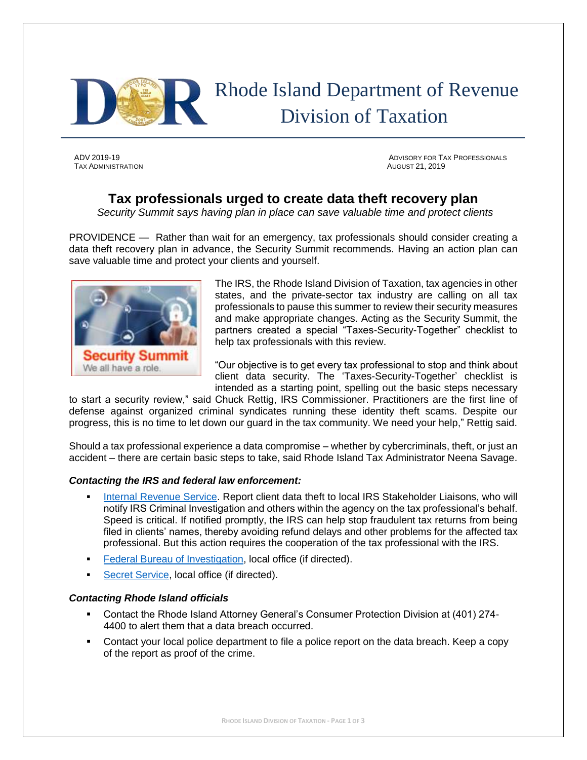

# Rhode Island Department of Revenue Division of Taxation

TAX ADMINISTRATION AUGUST 21, 2019

ADV 2019-19 ADVISORY FOR TAX PROFESSIONALS

## **Tax professionals urged to create data theft recovery plan**

*Security Summit says having plan in place can save valuable time and protect clients*

PROVIDENCE — Rather than wait for an emergency, tax professionals should consider creating a data theft recovery plan in advance, the Security Summit recommends. Having an action plan can save valuable time and protect your clients and yourself.



The IRS, the Rhode Island Division of Taxation, tax agencies in other states, and the private-sector tax industry are calling on all tax professionals to pause this summer to review their security measures and make appropriate changes. Acting as the Security Summit, the partners created a special "Taxes-Security-Together" checklist to help tax professionals with this review.

"Our objective is to get every tax professional to stop and think about client data security. The 'Taxes-Security-Together' checklist is intended as a starting point, spelling out the basic steps necessary

to start a security review," said Chuck Rettig, IRS Commissioner. Practitioners are the first line of defense against organized criminal syndicates running these identity theft scams. Despite our progress, this is no time to let down our guard in the tax community. We need your help," Rettig said.

Should a tax professional experience a data compromise – whether by cybercriminals, theft, or just an accident – there are certain basic steps to take, said Rhode Island Tax Administrator Neena Savage.

### *Contacting the IRS and federal law enforcement:*

- [Internal Revenue Service.](https://www.irs.gov/businesses/small-businesses-self-employed/stakeholder-liaison-local-contacts) Report client data theft to local IRS Stakeholder Liaisons, who will notify IRS Criminal Investigation and others within the agency on the tax professional's behalf. Speed is critical. If notified promptly, the IRS can help stop fraudulent tax returns from being filed in clients' names, thereby avoiding refund delays and other problems for the affected tax professional. But this action requires the cooperation of the tax professional with the IRS.
- **[Federal Bureau of Investigation,](https://www.fbi.gov/contact-us/field-offices) local office (if directed).**
- [Secret Service,](http://www.secretservice.gov/contact/field-offices/) local office (if directed).

### *Contacting Rhode Island officials*

- Contact the Rhode Island Attorney General's Consumer Protection Division at (401) 274- 4400 to alert them that a data breach occurred.
- **•** Contact your local police department to file a police report on the data breach. Keep a copy of the report as proof of the crime.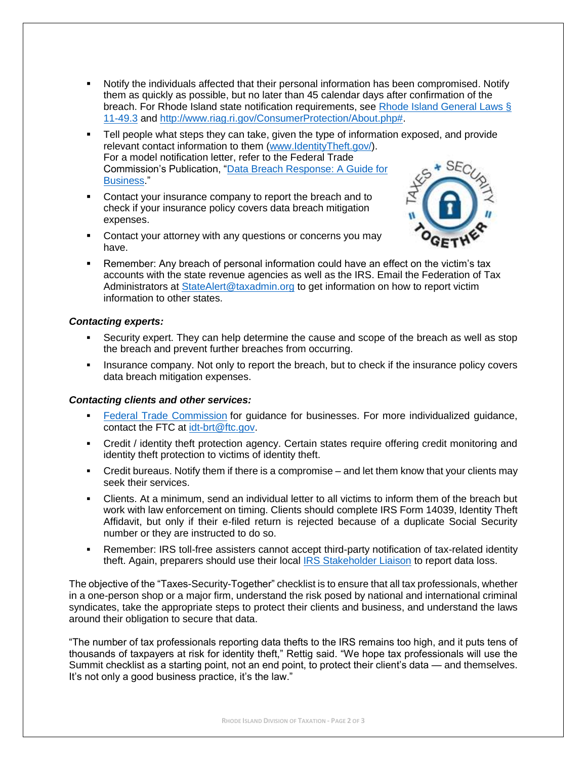- Notify the individuals affected that their personal information has been compromised. Notify them as quickly as possible, but no later than 45 calendar days after confirmation of the breach. For Rhode Island state notification requirements, see [Rhode Island General Laws §](http://webserver.rilin.state.ri.us/Statutes/TITLE11/11-49.3/INDEX.HTM)  [11-49.3](http://webserver.rilin.state.ri.us/Statutes/TITLE11/11-49.3/INDEX.HTM) and [http://www.riag.ri.gov/ConsumerProtection/About.php#.](http://www.riag.ri.gov/ConsumerProtection/About.php)
- Tell people what steps they can take, given the type of information exposed, and provide relevant contact information to them [\(www.IdentityTheft.gov/\)](https://www.identitytheft.gov/). For a model notification letter, refer to the Federal Trade  $*$  SF Commission's Publication, "Data Breach [Response: A Guide for](https://www.ftc.gov/system/files/documents/plain-language/pdf-0154_data-breach-response-guide-for-business-042519-508.pdf)  [Business.](https://www.ftc.gov/system/files/documents/plain-language/pdf-0154_data-breach-response-guide-for-business-042519-508.pdf)"
- Contact your insurance company to report the breach and to check if your insurance policy covers data breach mitigation expenses.
- Contact your attorney with any questions or concerns you may have.



Remember: Any breach of personal information could have an effect on the victim's tax accounts with the state revenue agencies as well as the IRS. Email the Federation of Tax Administrators at [StateAlert@taxadmin.org](mailto:StateAlert@taxadmin.org) to get information on how to report victim information to other states.

### *Contacting experts:*

- Security expert. They can help determine the cause and scope of the breach as well as stop the breach and prevent further breaches from occurring.
- Insurance company. Not only to report the breach, but to check if the insurance policy covers data breach mitigation expenses.

#### *Contacting clients and other services:*

- **E** [Federal Trade Commission](http://business.ftc.gov/documents/bus59-information-compromise-and-risk-id-theft-guidance-your-business) for guidance for businesses. For more individualized guidance, contact the FTC at [idt-brt@ftc.gov.](mailto:idt-brt@ftc.gov)
- Credit / identity theft protection agency. Certain states require offering credit monitoring and identity theft protection to victims of identity theft.
- Credit bureaus. Notify them if there is a compromise and let them know that your clients may seek their services.
- Clients. At a minimum, send an individual letter to all victims to inform them of the breach but work with law enforcement on timing. Clients should complete IRS Form 14039, Identity Theft Affidavit, but only if their e-filed return is rejected because of a duplicate Social Security number or they are instructed to do so.
- **•** Remember: IRS toll-free assisters cannot accept third-party notification of tax-related identity theft. Again, preparers should use their local [IRS Stakeholder Liaison](https://www.irs.gov/businesses/small-businesses-self-employed/stakeholder-liaison-local-contacts) to report data loss.

The objective of the "Taxes-Security-Together" checklist is to ensure that all tax professionals, whether in a one-person shop or a major firm, understand the risk posed by national and international criminal syndicates, take the appropriate steps to protect their clients and business, and understand the laws around their obligation to secure that data.

"The number of tax professionals reporting data thefts to the IRS remains too high, and it puts tens of thousands of taxpayers at risk for identity theft," Rettig said. "We hope tax professionals will use the Summit checklist as a starting point, not an end point, to protect their client's data — and themselves. It's not only a good business practice, it's the law."